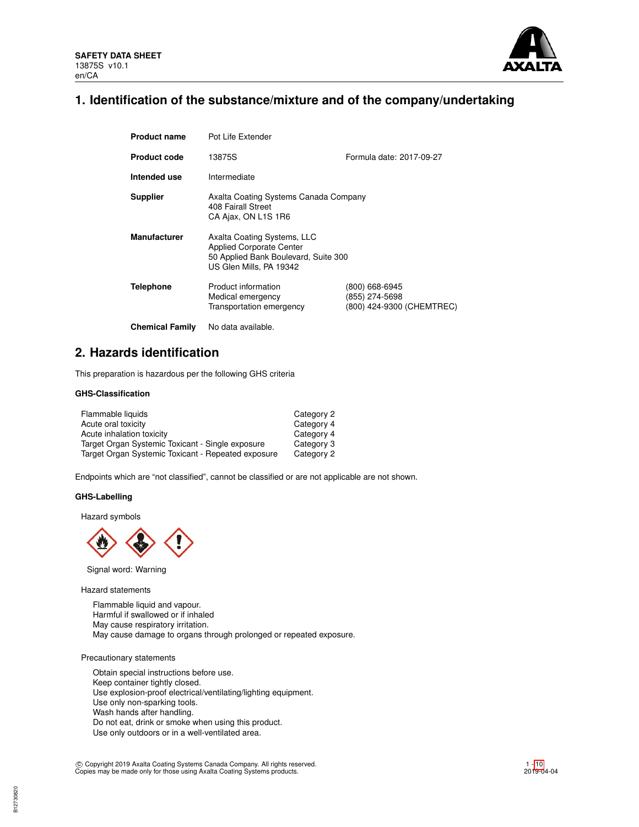

# **1. Identification of the substance/mixture and of the company/undertaking**

| <b>Product name</b>    | Pot Life Extender                                                                                                                 |                                                               |
|------------------------|-----------------------------------------------------------------------------------------------------------------------------------|---------------------------------------------------------------|
| <b>Product code</b>    | 13875S                                                                                                                            | Formula date: 2017-09-27                                      |
| Intended use           | Intermediate                                                                                                                      |                                                               |
| <b>Supplier</b>        | Axalta Coating Systems Canada Company<br>408 Fairall Street<br>CA Ajax, ON L1S 1R6                                                |                                                               |
| <b>Manufacturer</b>    | Axalta Coating Systems, LLC<br><b>Applied Corporate Center</b><br>50 Applied Bank Boulevard, Suite 300<br>US Glen Mills, PA 19342 |                                                               |
| Telephone              | Product information<br>Medical emergency<br>Transportation emergency                                                              | (800) 668-6945<br>(855) 274-5698<br>(800) 424-9300 (CHEMTREC) |
| <b>Chemical Family</b> | No data available.                                                                                                                |                                                               |

# **2. Hazards identification**

This preparation is hazardous per the following GHS criteria

## **GHS-Classification**

| Flammable liquids                                  | Category 2 |
|----------------------------------------------------|------------|
| Acute oral toxicity                                | Category 4 |
| Acute inhalation toxicity                          | Category 4 |
| Target Organ Systemic Toxicant - Single exposure   | Category 3 |
| Target Organ Systemic Toxicant - Repeated exposure | Category 2 |

Endpoints which are "not classified", cannot be classified or are not applicable are not shown.

## **GHS-Labelling**

Hazard symbols



Signal word: Warning

Hazard statements

Flammable liquid and vapour. Harmful if swallowed or if inhaled May cause respiratory irritation. May cause damage to organs through prolonged or repeated exposure.

Precautionary statements

Obtain special instructions before use. Keep container tightly closed. Use explosion-proof electrical/ventilating/lighting equipment. Use only non-sparking tools. Wash hands after handling. Do not eat, drink or smoke when using this product. Use only outdoors or in a well-ventilated area.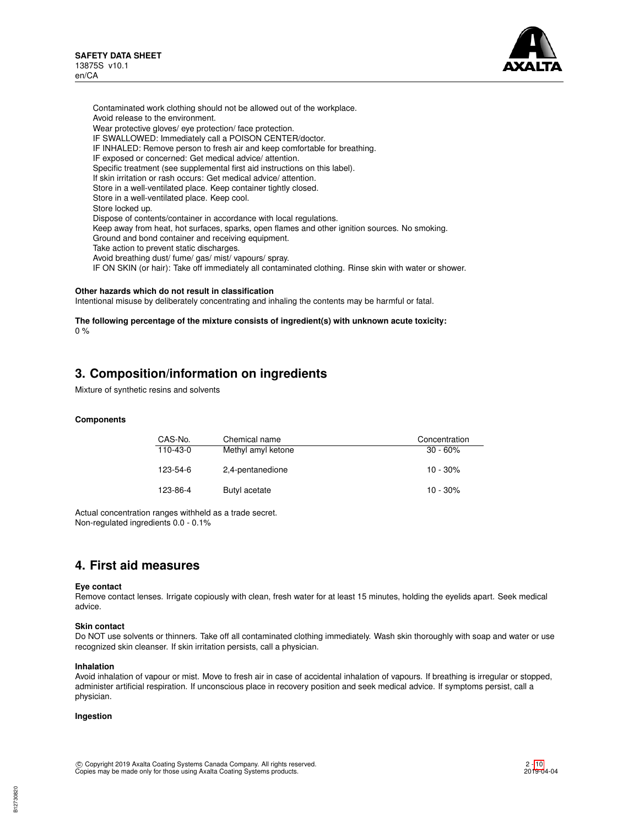

Contaminated work clothing should not be allowed out of the workplace. Avoid release to the environment. Wear protective gloves/ eye protection/ face protection. IF SWALLOWED: Immediately call a POISON CENTER/doctor. IF INHALED: Remove person to fresh air and keep comfortable for breathing. IF exposed or concerned: Get medical advice/ attention. Specific treatment (see supplemental first aid instructions on this label). If skin irritation or rash occurs: Get medical advice/ attention. Store in a well-ventilated place. Keep container tightly closed. Store in a well-ventilated place. Keep cool. Store locked up. Dispose of contents/container in accordance with local regulations. Keep away from heat, hot surfaces, sparks, open flames and other ignition sources. No smoking. Ground and bond container and receiving equipment. Take action to prevent static discharges. Avoid breathing dust/ fume/ gas/ mist/ vapours/ spray. IF ON SKIN (or hair): Take off immediately all contaminated clothing. Rinse skin with water or shower.

#### **Other hazards which do not result in classification**

Intentional misuse by deliberately concentrating and inhaling the contents may be harmful or fatal.

**The following percentage of the mixture consists of ingredient(s) with unknown acute toxicity:**  $0 %$ 

# **3. Composition/information on ingredients**

Mixture of synthetic resins and solvents

#### **Components**

| CAS-No.  | Chemical name      | Concentration |
|----------|--------------------|---------------|
| 110-43-0 | Methyl amyl ketone | $30 - 60\%$   |
| 123-54-6 | 2,4-pentanedione   | $10 - 30\%$   |
| 123-86-4 | Butyl acetate      | $10 - 30%$    |

Actual concentration ranges withheld as a trade secret. Non-regulated ingredients 0.0 - 0.1%

# **4. First aid measures**

#### **Eye contact**

Remove contact lenses. Irrigate copiously with clean, fresh water for at least 15 minutes, holding the eyelids apart. Seek medical advice.

## **Skin contact**

Do NOT use solvents or thinners. Take off all contaminated clothing immediately. Wash skin thoroughly with soap and water or use recognized skin cleanser. If skin irritation persists, call a physician.

#### **Inhalation**

Avoid inhalation of vapour or mist. Move to fresh air in case of accidental inhalation of vapours. If breathing is irregular or stopped, administer artificial respiration. If unconscious place in recovery position and seek medical advice. If symptoms persist, call a physician.

#### **Ingestion**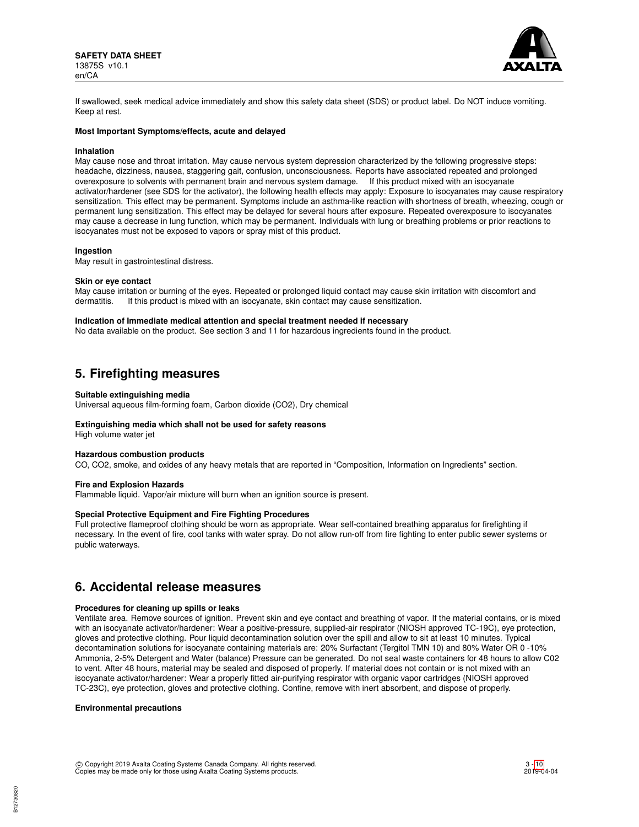

If swallowed, seek medical advice immediately and show this safety data sheet (SDS) or product label. Do NOT induce vomiting. Keep at rest.

### **Most Important Symptoms/effects, acute and delayed**

#### **Inhalation**

May cause nose and throat irritation. May cause nervous system depression characterized by the following progressive steps: headache, dizziness, nausea, staggering gait, confusion, unconsciousness. Reports have associated repeated and prolonged overexposure to solvents with permanent brain and nervous system damage. If this product mixed with an isocyanate activator/hardener (see SDS for the activator), the following health effects may apply: Exposure to isocyanates may cause respiratory sensitization. This effect may be permanent. Symptoms include an asthma-like reaction with shortness of breath, wheezing, cough or permanent lung sensitization. This effect may be delayed for several hours after exposure. Repeated overexposure to isocyanates may cause a decrease in lung function, which may be permanent. Individuals with lung or breathing problems or prior reactions to isocyanates must not be exposed to vapors or spray mist of this product.

#### **Ingestion**

May result in gastrointestinal distress.

#### **Skin or eye contact**

May cause irritation or burning of the eyes. Repeated or prolonged liquid contact may cause skin irritation with discomfort and dermatitis. If this product is mixed with an isocyanate, skin contact may cause sensitization.

### **Indication of Immediate medical attention and special treatment needed if necessary**

No data available on the product. See section 3 and 11 for hazardous ingredients found in the product.

# **5. Firefighting measures**

#### **Suitable extinguishing media**

Universal aqueous film-forming foam, Carbon dioxide (CO2), Dry chemical

#### **Extinguishing media which shall not be used for safety reasons**

High volume water jet

#### **Hazardous combustion products**

CO, CO2, smoke, and oxides of any heavy metals that are reported in "Composition, Information on Ingredients" section.

#### **Fire and Explosion Hazards**

Flammable liquid. Vapor/air mixture will burn when an ignition source is present.

#### **Special Protective Equipment and Fire Fighting Procedures**

Full protective flameproof clothing should be worn as appropriate. Wear self-contained breathing apparatus for firefighting if necessary. In the event of fire, cool tanks with water spray. Do not allow run-off from fire fighting to enter public sewer systems or public waterways.

# **6. Accidental release measures**

#### **Procedures for cleaning up spills or leaks**

Ventilate area. Remove sources of ignition. Prevent skin and eye contact and breathing of vapor. If the material contains, or is mixed with an isocyanate activator/hardener: Wear a positive-pressure, supplied-air respirator (NIOSH approved TC-19C), eye protection, gloves and protective clothing. Pour liquid decontamination solution over the spill and allow to sit at least 10 minutes. Typical decontamination solutions for isocyanate containing materials are: 20% Surfactant (Tergitol TMN 10) and 80% Water OR 0 -10% Ammonia, 2-5% Detergent and Water (balance) Pressure can be generated. Do not seal waste containers for 48 hours to allow C02 to vent. After 48 hours, material may be sealed and disposed of properly. If material does not contain or is not mixed with an isocyanate activator/hardener: Wear a properly fitted air-purifying respirator with organic vapor cartridges (NIOSH approved TC-23C), eye protection, gloves and protective clothing. Confine, remove with inert absorbent, and dispose of properly.

#### **Environmental precautions**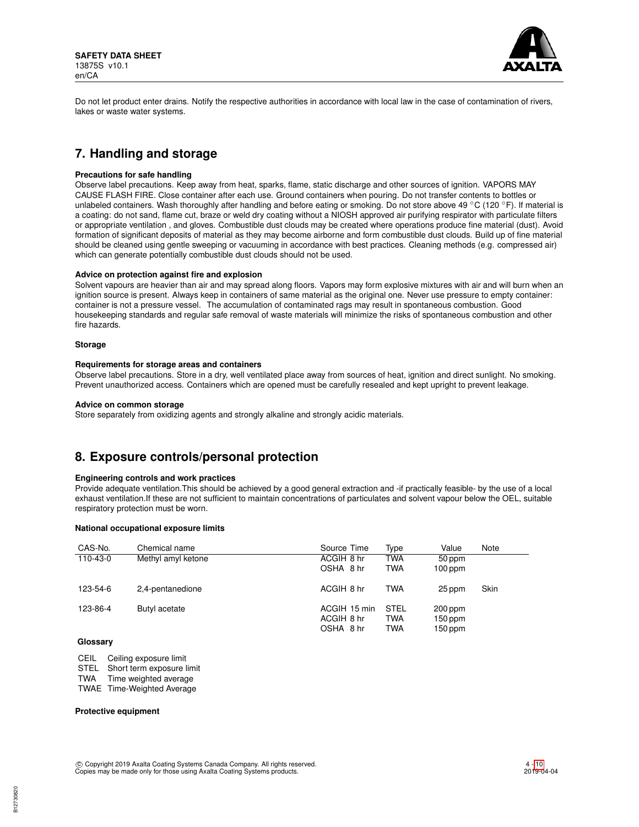

Do not let product enter drains. Notify the respective authorities in accordance with local law in the case of contamination of rivers, lakes or waste water systems.

# **7. Handling and storage**

#### **Precautions for safe handling**

Observe label precautions. Keep away from heat, sparks, flame, static discharge and other sources of ignition. VAPORS MAY CAUSE FLASH FIRE. Close container after each use. Ground containers when pouring. Do not transfer contents to bottles or unlabeled containers. Wash thoroughly after handling and before eating or smoking. Do not store above 49 °C (120 °F). If material is a coating: do not sand, flame cut, braze or weld dry coating without a NIOSH approved air purifying respirator with particulate filters or appropriate ventilation , and gloves. Combustible dust clouds may be created where operations produce fine material (dust). Avoid formation of significant deposits of material as they may become airborne and form combustible dust clouds. Build up of fine material should be cleaned using gentle sweeping or vacuuming in accordance with best practices. Cleaning methods (e.g. compressed air) which can generate potentially combustible dust clouds should not be used.

#### **Advice on protection against fire and explosion**

Solvent vapours are heavier than air and may spread along floors. Vapors may form explosive mixtures with air and will burn when an ignition source is present. Always keep in containers of same material as the original one. Never use pressure to empty container: container is not a pressure vessel. The accumulation of contaminated rags may result in spontaneous combustion. Good housekeeping standards and regular safe removal of waste materials will minimize the risks of spontaneous combustion and other fire hazards.

#### **Storage**

#### **Requirements for storage areas and containers**

Observe label precautions. Store in a dry, well ventilated place away from sources of heat, ignition and direct sunlight. No smoking. Prevent unauthorized access. Containers which are opened must be carefully resealed and kept upright to prevent leakage.

#### **Advice on common storage**

Store separately from oxidizing agents and strongly alkaline and strongly acidic materials.

# **8. Exposure controls/personal protection**

## **Engineering controls and work practices**

Provide adequate ventilation.This should be achieved by a good general extraction and -if practically feasible- by the use of a local exhaust ventilation.If these are not sufficient to maintain concentrations of particulates and solvent vapour below the OEL, suitable respiratory protection must be worn.

## **National occupational exposure limits**

| CAS-No.  | Chemical name      | Source Time  | Type        | Value     | Note |
|----------|--------------------|--------------|-------------|-----------|------|
| 110-43-0 | Methyl amyl ketone | ACGIH 8 hr   | <b>TWA</b>  | 50 ppm    |      |
|          |                    | OSHA 8 hr    | <b>TWA</b>  | $100$ ppm |      |
| 123-54-6 | 2,4-pentanedione   | ACGIH 8 hr   | <b>TWA</b>  | 25 ppm    | Skin |
| 123-86-4 | Butyl acetate      | ACGIH 15 min | <b>STEL</b> | 200 ppm   |      |
|          |                    | ACGIH 8 hr   | <b>TWA</b>  | $150$ ppm |      |
|          |                    | OSHA 8 hr    | <b>TWA</b>  | $150$ ppm |      |

## **Glossary**

CEIL Ceiling exposure limit

STEL Short term exposure limit

TWA Time weighted average

TWAE Time-Weighted Average

### **Protective equipment**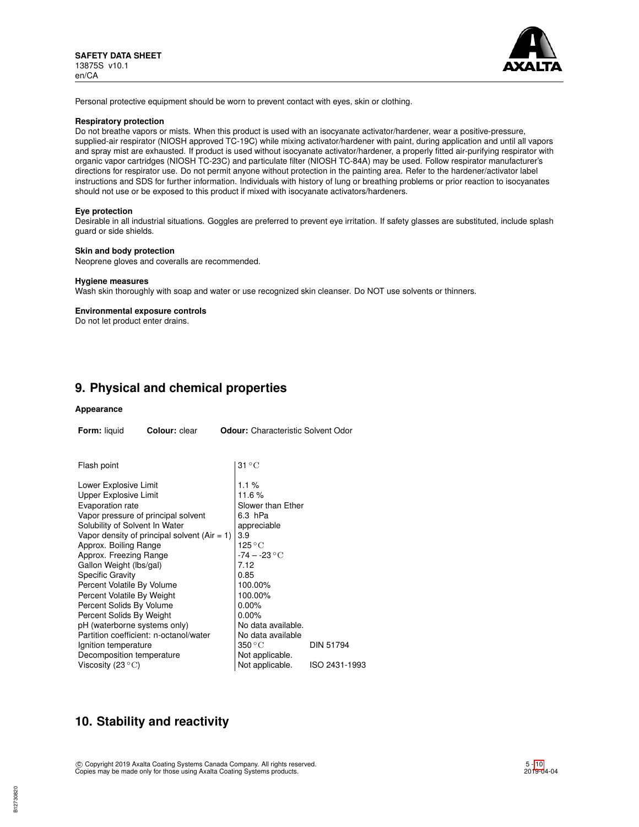

Personal protective equipment should be worn to prevent contact with eyes, skin or clothing.

### **Respiratory protection**

Do not breathe vapors or mists. When this product is used with an isocyanate activator/hardener, wear a positive-pressure, supplied-air respirator (NIOSH approved TC-19C) while mixing activator/hardener with paint, during application and until all vapors and spray mist are exhausted. If product is used without isocyanate activator/hardener, a properly fitted air-purifying respirator with organic vapor cartridges (NIOSH TC-23C) and particulate filter (NIOSH TC-84A) may be used. Follow respirator manufacturer's directions for respirator use. Do not permit anyone without protection in the painting area. Refer to the hardener/activator label instructions and SDS for further information. Individuals with history of lung or breathing problems or prior reaction to isocyanates should not use or be exposed to this product if mixed with isocyanate activators/hardeners.

#### **Eye protection**

Desirable in all industrial situations. Goggles are preferred to prevent eye irritation. If safety glasses are substituted, include splash guard or side shields.

#### **Skin and body protection**

Neoprene gloves and coveralls are recommended.

#### **Hygiene measures**

Wash skin thoroughly with soap and water or use recognized skin cleanser. Do NOT use solvents or thinners.

#### **Environmental exposure controls**

Do not let product enter drains.

# **9. Physical and chemical properties**

#### **Appearance**

| Form: liquid                                                                                                                                                                                                                                                                                                                                                                                                                                          | Colour: clear                                                                                                                   | <b>Odour:</b> Characteristic Solvent Odor                                                                                                                                                                                                                                       |                            |
|-------------------------------------------------------------------------------------------------------------------------------------------------------------------------------------------------------------------------------------------------------------------------------------------------------------------------------------------------------------------------------------------------------------------------------------------------------|---------------------------------------------------------------------------------------------------------------------------------|---------------------------------------------------------------------------------------------------------------------------------------------------------------------------------------------------------------------------------------------------------------------------------|----------------------------|
| Flash point                                                                                                                                                                                                                                                                                                                                                                                                                                           |                                                                                                                                 | $31^{\circ}$ C                                                                                                                                                                                                                                                                  |                            |
| Lower Explosive Limit<br>Upper Explosive Limit<br>Evaporation rate<br>Solubility of Solvent In Water<br>Approx. Boiling Range<br>Approx. Freezing Range<br>Gallon Weight (lbs/gal)<br><b>Specific Gravity</b><br>Percent Volatile By Volume<br>Percent Volatile By Weight<br>Percent Solids By Volume<br>Percent Solids By Weight<br>pH (waterborne systems only)<br>Ignition temperature<br>Decomposition temperature<br>Viscosity (23 $^{\circ}$ C) | Vapor pressure of principal solvent<br>Vapor density of principal solvent $(Air = 1)$<br>Partition coefficient: n-octanol/water | $1.1\%$<br>11.6%<br>Slower than Ether<br>6.3 hPa<br>appreciable<br>3.9<br>$125\,^{\circ}\mathrm{C}$<br>$-74 - -23$ °C<br>7.12<br>0.85<br>100.00%<br>100.00%<br>$0.00\%$<br>$0.00\%$<br>No data available.<br>No data available<br>350 ° C<br>Not applicable.<br>Not applicable. | DIN 51794<br>ISO 2431-1993 |

# **10. Stability and reactivity**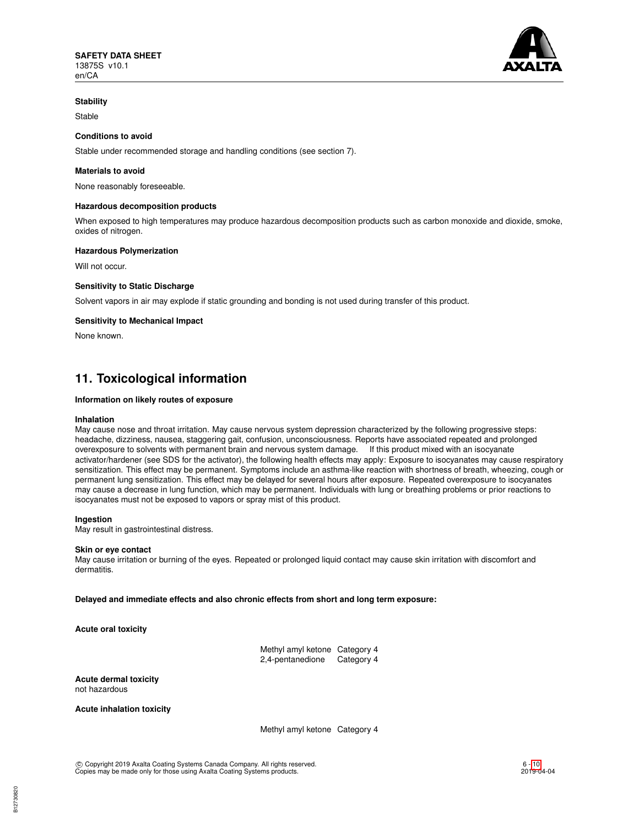

## **Stability**

Stable

## **Conditions to avoid**

Stable under recommended storage and handling conditions (see section 7).

## **Materials to avoid**

None reasonably foreseeable.

#### **Hazardous decomposition products**

When exposed to high temperatures may produce hazardous decomposition products such as carbon monoxide and dioxide, smoke, oxides of nitrogen.

#### **Hazardous Polymerization**

Will not occur.

### **Sensitivity to Static Discharge**

Solvent vapors in air may explode if static grounding and bonding is not used during transfer of this product.

#### **Sensitivity to Mechanical Impact**

None known.

# **11. Toxicological information**

#### **Information on likely routes of exposure**

#### **Inhalation**

May cause nose and throat irritation. May cause nervous system depression characterized by the following progressive steps: headache, dizziness, nausea, staggering gait, confusion, unconsciousness. Reports have associated repeated and prolonged overexposure to solvents with permanent brain and nervous system damage. If this product mixed with an isocyanate activator/hardener (see SDS for the activator), the following health effects may apply: Exposure to isocyanates may cause respiratory sensitization. This effect may be permanent. Symptoms include an asthma-like reaction with shortness of breath, wheezing, cough or permanent lung sensitization. This effect may be delayed for several hours after exposure. Repeated overexposure to isocyanates may cause a decrease in lung function, which may be permanent. Individuals with lung or breathing problems or prior reactions to isocyanates must not be exposed to vapors or spray mist of this product.

#### **Ingestion**

May result in gastrointestinal distress.

#### **Skin or eye contact**

May cause irritation or burning of the eyes. Repeated or prolonged liquid contact may cause skin irritation with discomfort and dermatitis.

**Delayed and immediate effects and also chronic effects from short and long term exposure:**

**Acute oral toxicity**

Methyl amyl ketone Category 4 2,4-pentanedione Category 4

**Acute dermal toxicity** not hazardous

**Acute inhalation toxicity**

Methyl amyl ketone Category 4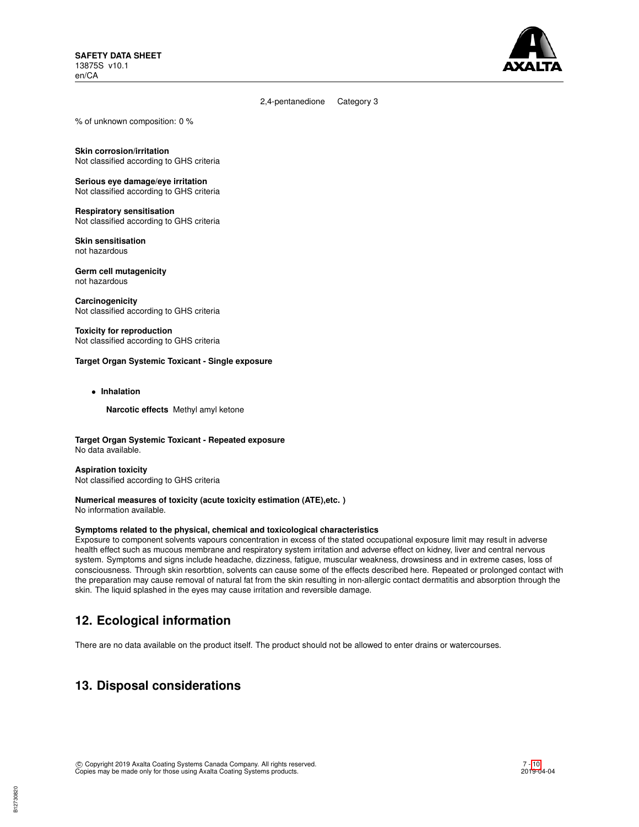

2,4-pentanedione Category 3

% of unknown composition: 0 %

**Skin corrosion/irritation** Not classified according to GHS criteria

**Serious eye damage/eye irritation** Not classified according to GHS criteria

**Respiratory sensitisation** Not classified according to GHS criteria

**Skin sensitisation** not hazardous

**Germ cell mutagenicity** not hazardous

**Carcinogenicity** Not classified according to GHS criteria

**Toxicity for reproduction** Not classified according to GHS criteria

## **Target Organ Systemic Toxicant - Single exposure**

• **Inhalation**

**Narcotic effects** Methyl amyl ketone

**Target Organ Systemic Toxicant - Repeated exposure** No data available.

**Aspiration toxicity** Not classified according to GHS criteria

#### **Numerical measures of toxicity (acute toxicity estimation (ATE),etc. )** No information available.

## **Symptoms related to the physical, chemical and toxicological characteristics**

Exposure to component solvents vapours concentration in excess of the stated occupational exposure limit may result in adverse health effect such as mucous membrane and respiratory system irritation and adverse effect on kidney, liver and central nervous system. Symptoms and signs include headache, dizziness, fatigue, muscular weakness, drowsiness and in extreme cases, loss of consciousness. Through skin resorbtion, solvents can cause some of the effects described here. Repeated or prolonged contact with the preparation may cause removal of natural fat from the skin resulting in non-allergic contact dermatitis and absorption through the skin. The liquid splashed in the eyes may cause irritation and reversible damage.

# **12. Ecological information**

There are no data available on the product itself. The product should not be allowed to enter drains or watercourses.

# **13. Disposal considerations**

B12730820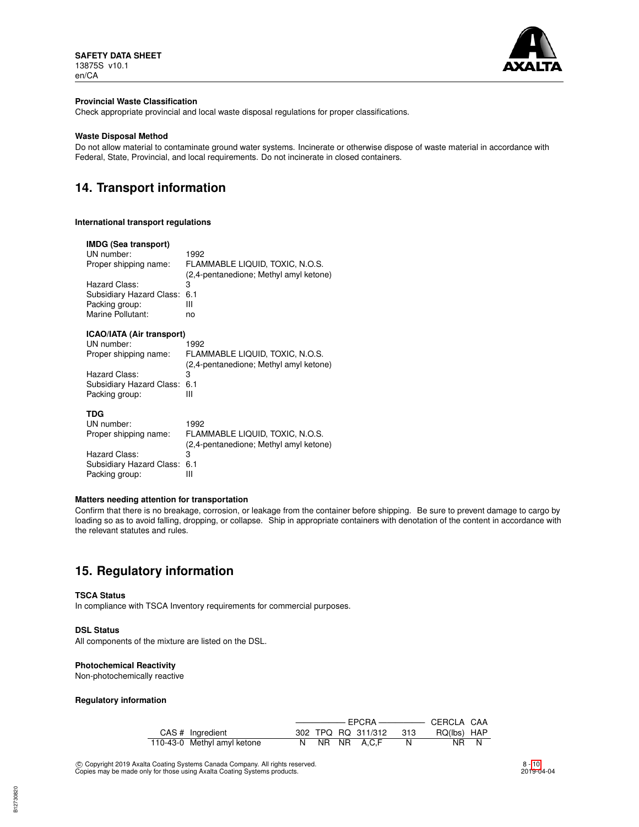

### **Provincial Waste Classification**

Check appropriate provincial and local waste disposal regulations for proper classifications.

### **Waste Disposal Method**

Do not allow material to contaminate ground water systems. Incinerate or otherwise dispose of waste material in accordance with Federal, State, Provincial, and local requirements. Do not incinerate in closed containers.

# **14. Transport information**

#### **International transport regulations**

#### **IMDG (Sea transport)**

| UN number:                   | 1992                                   |
|------------------------------|----------------------------------------|
| Proper shipping name:        | FLAMMABLE LIQUID. TOXIC. N.O.S.        |
|                              | (2.4-pentanedione; Methyl amyl ketone) |
| Hazard Class:                | з                                      |
| Subsidiary Hazard Class: 6.1 |                                        |
| Packing group:               | Ш                                      |
| Marine Pollutant:            | no                                     |
|                              |                                        |

## **ICAO/IATA (Air transport)**

| UN number:                   | 1992                                   |
|------------------------------|----------------------------------------|
| Proper shipping name:        | FLAMMABLE LIQUID, TOXIC, N.O.S.        |
|                              | (2,4-pentanedione; Methyl amyl ketone) |
| Hazard Class:                | з                                      |
| Subsidiary Hazard Class: 6.1 |                                        |
| Packing group:               |                                        |
|                              |                                        |

| 1992                                   |
|----------------------------------------|
| FLAMMABLE LIQUID. TOXIC. N.O.S.        |
| (2,4-pentanedione; Methyl amyl ketone) |
| з                                      |
| Subsidiary Hazard Class: 6.1           |
|                                        |
|                                        |

## **Matters needing attention for transportation**

Confirm that there is no breakage, corrosion, or leakage from the container before shipping. Be sure to prevent damage to cargo by loading so as to avoid falling, dropping, or collapse. Ship in appropriate containers with denotation of the content in accordance with the relevant statutes and rules.

# **15. Regulatory information**

#### **TSCA Status**

In compliance with TSCA Inventory requirements for commercial purposes.

#### **DSL Status**

All components of the mixture are listed on the DSL.

#### **Photochemical Reactivity**

Non-photochemically reactive

### **Regulatory information**

|                             |  |                    |       | ——————— ЕРСRА —————— СЕRCLA САА |  |
|-----------------------------|--|--------------------|-------|---------------------------------|--|
| CAS # Ingredient            |  | 302 TPQ RQ 311/312 | - 313 | RQ(lbs) HAP                     |  |
| 110-43-0 Methyl amyl ketone |  | NR NR A.C.F        |       | NR N                            |  |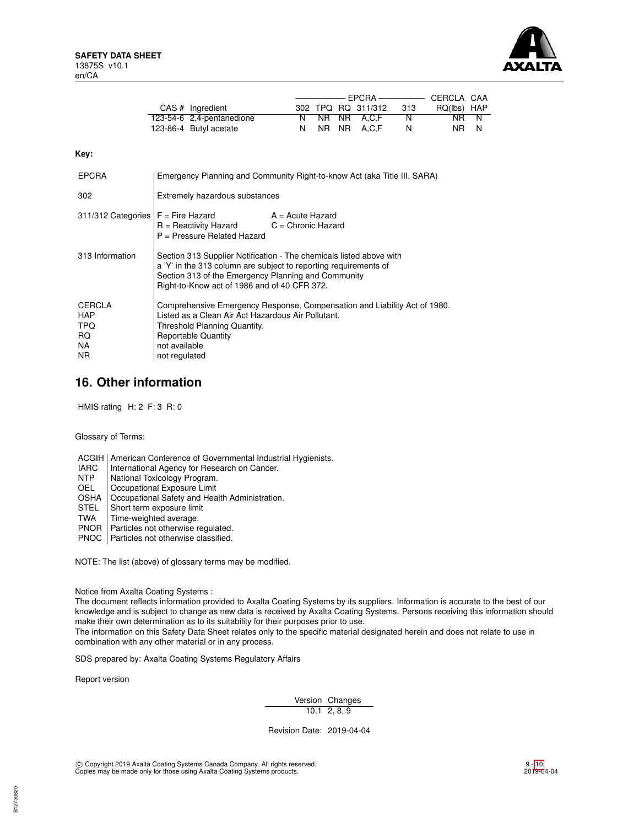

| $CAS$ # Ingredient        |  | 302 TPQ RQ 311/312 | -313 | RQ(lbs) HAP |  |
|---------------------------|--|--------------------|------|-------------|--|
| 123-54-6 2,4-pentanedione |  | N NR NR A.C.F      | N.   | NR N        |  |
| 123-86-4 Butyl acetate    |  | N NR NR A.C.F      | N    | NR N        |  |

**Key:**

| <b>EPCRA</b>                                                   | Emergency Planning and Community Right-to-know Act (aka Title III, SARA)                                                                                                                                                                       |                  |  |  |
|----------------------------------------------------------------|------------------------------------------------------------------------------------------------------------------------------------------------------------------------------------------------------------------------------------------------|------------------|--|--|
| 302                                                            | Extremely hazardous substances                                                                                                                                                                                                                 |                  |  |  |
| 311/312 Categories $F =$ Fire Hazard                           | $R =$ Reactivity Hazard $C =$ Chronic Hazard<br>P = Pressure Related Hazard                                                                                                                                                                    | A = Acute Hazard |  |  |
| 313 Information                                                | Section 313 Supplier Notification - The chemicals listed above with<br>a 'Y' in the 313 column are subject to reporting requirements of<br>Section 313 of the Emergency Planning and Community<br>Right-to-Know act of 1986 and of 40 CFR 372. |                  |  |  |
| <b>CERCLA</b><br><b>HAP</b><br><b>TPQ</b><br>RQ.<br>NA.<br>NR. | Comprehensive Emergency Response, Compensation and Liability Act of 1980.<br>Listed as a Clean Air Act Hazardous Air Pollutant.<br>Threshold Planning Quantity.<br><b>Reportable Quantity</b><br>not available<br>not regulated                |                  |  |  |

# **16. Other information**

HMIS rating H: 2 F: 3 R: 0

Glossary of Terms:

ACGIH | American Conference of Governmental Industrial Hygienists.

- IARC | International Agency for Research on Cancer.<br>NTP | National Toxicology Program.
- NTP National Toxicology Program.<br>OEL Occupational Exposure Limit
- Occupational Exposure Limit
- OSHA | Occupational Safety and Health Administration.<br>STEL | Short term exposure limit
- STEL Short term exposure limit<br>TWA Time-weighted average.
- Time-weighted average.
- PNOR | Particles not otherwise regulated.
- PNOC | Particles not otherwise classified.

NOTE: The list (above) of glossary terms may be modified.

Notice from Axalta Coating Systems :

The document reflects information provided to Axalta Coating Systems by its suppliers. Information is accurate to the best of our knowledge and is subject to change as new data is received by Axalta Coating Systems. Persons receiving this information should make their own determination as to its suitability for their purposes prior to use.

The information on this Safety Data Sheet relates only to the specific material designated herein and does not relate to use in combination with any other material or in any process.

SDS prepared by: Axalta Coating Systems Regulatory Affairs

Report version

Version Changes  $10.1$  2, 8, 9

Revision Date: 2019-04-04